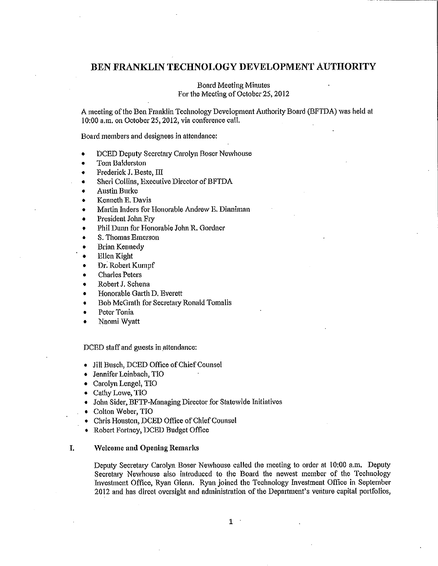# **BEN FRANKLIN TECHNOLOGY DEVELOPMENT AUTHORITY**

# Board Meeting Minutes For the Meeting of October 25, 2012

A meeting of the Ben Franklin Technology Development Authority Board (BFTDA) was held at 10:00 a.m. on October 25, 2012, via conference call.

Board members and designees in attendance:

- DCED Deputy Secretaty Carolyn Boser Newhouse
- Tom Balderston
- $\bullet$  Frederick J. Beste,  $\text{III}$
- Sheri Collins, Executive Director of BFTDA
- Austin Bmke
- Kenneth E. Davis
- Martin Inders for Honorable Andrew E. Dinniman
- President John Fry
- Phil Dunn for Honorable John R. Gordner
- S. Thomas Emerson
- Brian Kennedy
- Ellen Kight
- Dr. Robert Kumpf
- **Charles Peters**
- Robert J. Schena
- Honorable Gatth D, Everett
- Bob McGrath for Secretaiy Ronald Tomalis
- Peter Tonia
- Naomi Wyatt

DCED staff and guests in attendance:

- Jill Busch, DCED Office of Chief Counsel
- Jennifer Leinbach, TIO
- Carolyn Lengel, TIO
- Cathy Lowe, TIO
- John Sider, BFTP-Managing Director for Statewide Initiatives
- Colton Weber, TIO
- Chris Houston, DCED Office of Chief Counsel
- Robert Fortney, DCED Budget Office

# I. **Welcome and Opening Remarks**

Deputy Secretary Carolyn Boser Newhouse called the meeting to order at 10:00 a.m. Deputy Secretaiy Newhouse also introduced to the Board the newest member of the Technology Investment Office, Ryan Glenn, Ryan joined the Technology Investment Office in September 2012 and has direct oversight and administration of the Department's venture capital portfolios,